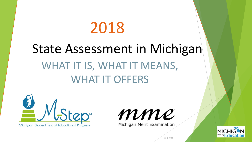# 2018

# WHAT IT IS, WHAT IT MEANS, WHAT IT OFFERS State Assessment in Michigan





Michigan Merit Examination



8/8/2018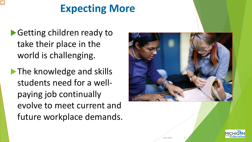### **Expecting More**

- ▶ Getting children ready to take their place in the world is challenging.
- **The knowledge and skills** students need for a wellpaying job continually evolve to meet current and future workplace demands.



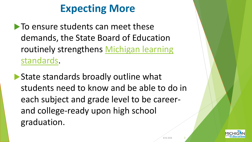### **Expecting More**

 $\blacktriangleright$  To ensure students can meet these demands, the State Board of Education [routinely strengthens Michigan learning](http://michigan.gov/mde/0,4615,7-140-28753_64839_65510---,00.html) standards.

State standards broadly outline what students need to know and be able to do in each subject and grade level to be careerand college-ready upon high school graduation.

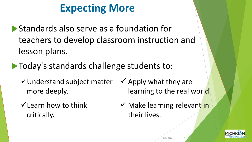## **Expecting More**

- Standards also serve as a foundation for teachers to develop classroom instruction and lesson plans.
- $\blacktriangleright$  Today's standards challenge students to:
	- Understand subject matter more deeply.
	- $\checkmark$  Learn how to think critically.
- $\checkmark$  Apply what they are learning to the real world.
- $\checkmark$  Make learning relevant in their lives.

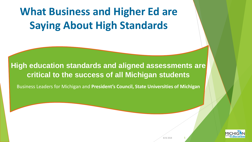# **What Business and Higher Ed are Saying About High Standards**

**High education standards and aligned assessments are critical to the success of all Michigan students** 

Business Leaders for Michigan and **President's Council, State Universities of Michigan**

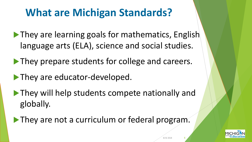# **What are Michigan Standards?**

- **They are learning goals for mathematics, English** language arts (ELA), science and social studies.
- **They prepare students for college and careers.**
- **They are educator-developed.**
- **They will help students compete nationally and** globally.
- They are not a curriculum or federal program.

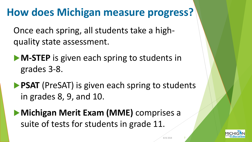## **How does Michigan measure progress?**

Once each spring, all students take a highquality state assessment.

**M-STEP** is given each spring to students in grades 3-8.

**PSAT** (PreSAT) is given each spring to students in grades 8, 9, and 10.

**Michigan Merit Exam (MME)** comprises a suite of tests for students in grade 11.

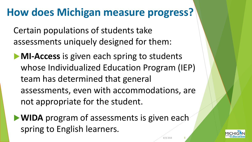#### **How does Michigan measure progress?**

Certain populations of students take assessments uniquely designed for them:

**MI-Access** is given each spring to students whose Individualized Education Program (IEP) team has determined that general assessments, even with accommodations, are not appropriate for the student.

**WIDA** program of assessments is given each spring to English learners.

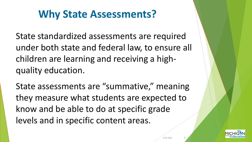#### **Why State Assessments?**

State standardized assessments are required under both state and federal law, to ensure all children are learning and receiving a highquality education.

State assessments are "summative," meaning they measure what students are expected to know and be able to do at specific grade levels and in specific content areas.

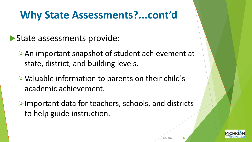#### **Why State Assessments?...cont'd**

#### State assessments provide:

- An important snapshot of student achievement at state, district, and building levels.
- Valuable information to parents on their child's academic achievement.
- $\triangleright$  Important data for teachers, schools, and districts to help guide instruction.

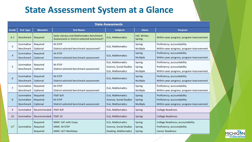#### **State Assessment System at a Glance**

| <b>State Assessments</b> |                  |                |                                                                                                    |                         |                         |                                           |
|--------------------------|------------------|----------------|----------------------------------------------------------------------------------------------------|-------------------------|-------------------------|-------------------------------------------|
| Grade                    | <b>Test Type</b> | <b>Mandate</b> | <b>Test Name</b>                                                                                   | <b>Subjects</b>         | Given                   | Purpose                                   |
| $K-2$                    | Benchmark        | Required       | Early Literacy and Mathematics Benchmark<br>Assessment or District-selected benchmark <sup>1</sup> | ELA, Mathematics        | Fall, Winter,<br>Spring | Within-year progress; program improvement |
| 3                        | Summative        | Required       | M-STEP                                                                                             | ELA, Mathematics        | Spring                  | Proficiency; accountability               |
|                          | Benchmark        | Optional       | District-selected benchmark assessment <sup>2</sup>                                                |                         | Multiple                | Within-year progress; program improvement |
| 4                        | Summative        | Required       | M-STEP                                                                                             | ELA, Mathematics        | Spring                  | Proficiency; accountability               |
|                          | Benchmark        | Optional       | District-selected benchmark assessment                                                             |                         | Multiple                | Within-year progress; program improvement |
| 5                        | Summative        | Required       | M-STEP                                                                                             | ELA, Mathematics        | Spring                  | Proficiency; accountability               |
|                          | Benchmark        | Optional       | District-selected benchmark assessment                                                             | Science, Social Studies | Spring                  | Proficiency; accountability               |
|                          |                  |                |                                                                                                    | ELA, Mathematics        | Multiple                | Within-year progress; program improvement |
| 6                        | Summative        | Required       | M-STEP                                                                                             | ELA, Mathematics        | Spring                  | Proficiency; accountability               |
|                          | Benchmark        | Optional       | District-selected benchmark assessment                                                             |                         | Multiple                | Within-year progress; program improvement |
|                          | Summative        | Required       | M-STEP                                                                                             |                         | Spring                  | Proficiency; accountability               |
| $\overline{7}$           | Benchmark        | Optional       | District-selected benchmark assessment                                                             | ELA, Mathematics        | Multiple                | Within-year progress; program improvement |
| 8                        | Summative        | Required       | <b>PSAT 8/9</b>                                                                                    | ELA, Mathematics        | Spring                  | Proficiency; accountability               |
|                          | Summative        | Required       | M-STEP                                                                                             | Science, Social Studies | Spring                  | Proficiency; accountability               |
|                          | Benchmark        | Optional       | District-selected benchmark assessment                                                             | ELA, Mathematics        | Multiple                | Within-year progress; program improvement |
| 9                        | Summative        | Recommended    | <b>PSAT 8/9</b>                                                                                    | ELA, Mathematics        | Spring                  | <b>College Readiness</b>                  |
| 10                       | Summative        | Recommended    | PSAT 10                                                                                            | ELA, Mathematics        | Spring                  | <b>College Readiness</b>                  |
| 11 <sup>3</sup>          | Summative        | Required       | MME: SAT with Essay                                                                                | ELA, Mathematics        | Spring                  | College Readiness; accountability         |
|                          |                  | Required       | MME: M-STEP                                                                                        | Science, Social Studies | Spring                  | Proficiency; accountability               |
|                          |                  | Required       | MME: ACT WorkKeys                                                                                  | Reading, Mathematics    | Spring                  | <b>Career Readiness</b>                   |

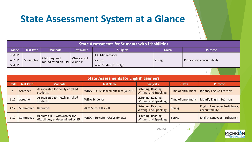#### **State Assessment System at a Glance**

| <b>State Assessments for Students with Disabilities</b> |                  |                     |                                                                  |                          |        |                             |
|---------------------------------------------------------|------------------|---------------------|------------------------------------------------------------------|--------------------------|--------|-----------------------------|
| Grade                                                   | <b>Test Type</b> | <b>Mandate</b>      | <b>Test Name</b>                                                 | <b>Subjects</b>          | Given  | <b>Purpose</b>              |
| $3 - 8, 11$                                             |                  |                     |                                                                  | ELA, Mathematics         |        |                             |
| 4, 7, 11                                                |                  | <b>ONE Required</b> | MI-Access FI<br>Summative $\int$ (as indicated on IEP) SI, and P | <b>Science</b>           | Spring | Proficiency; accountability |
| 5, 8, 11                                                |                  |                     |                                                                  | Social Studies (FI Only) |        |                             |

| <b>State Assessments for English Learners</b> |                      |                                                                       |                                           |                                              |                    |                                                        |  |
|-----------------------------------------------|----------------------|-----------------------------------------------------------------------|-------------------------------------------|----------------------------------------------|--------------------|--------------------------------------------------------|--|
| Grade                                         | <b>Test Type</b>     | <b>Mandate</b>                                                        | <b>Test Name</b>                          | <b>Subjects</b>                              | <b>Given</b>       | <b>Purpose</b>                                         |  |
|                                               | Screener             | As indicated for newly enrolled<br>students                           | <b>WIDA ACCESS Placement Test (W-APT)</b> | Listening, Reading,<br>Writing, and Speaking | Time of enrollment | <b>Identify English Learners</b>                       |  |
| $1 - 12$                                      | Screener             | As indicated for newly enrolled<br>students                           | <b>WIDA Screener</b>                      | Listening, Reading,<br>Writing, and Speaking | Time of enrollment | <b>Identify English Learners</b>                       |  |
| $K-12$                                        | Summative   Required |                                                                       | <b>ACCESS for ELLs 2.0</b>                | Listening, Reading,<br>Writing, and Speaking | Spring             | <b>English Language Proficiency;</b><br>accountability |  |
| $1 - 12$                                      | Summative            | Required (ELs with significant<br>disabilities, as determined by IEP) | <b>WIDA Alternate ACCESS for ELLs</b>     | Listening, Reading,<br>Writing, and Speaking | Spring             | <b>English Language Proficiency</b>                    |  |

8/8/2018 12

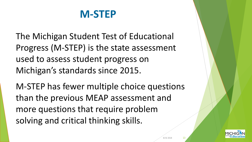#### **M-STEP**

The Michigan Student Test of Educational Progress (M-STEP) is the state assessment used to assess student progress on Michigan's standards since 2015.

M-STEP has fewer multiple choice questions than the previous MEAP assessment and more questions that require problem solving and critical thinking skills.

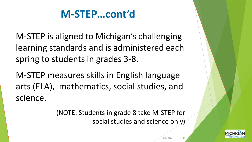### **M-STEP…cont'd**

M-STEP is aligned to Michigan's challenging learning standards and is administered each spring to students in grades 3-8.

M-STEP measures skills in English language arts (ELA), mathematics, social studies, and science.

> (NOTE: Students in grade 8 take M-STEP for social studies and science only)

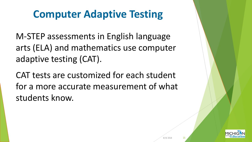### **Computer Adaptive Testing**

M-STEP assessments in English language arts (ELA) and mathematics use computer adaptive testing (CAT).

CAT tests are customized for each student for a more accurate measurement of what students know.

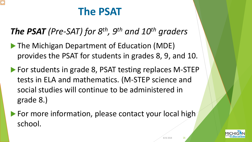# **The PSAT**

*The PSAT (Pre-SAT) for 8th, 9th and 10th graders*

- **The Michigan Department of Education (MDE)** provides the PSAT for students in grades 8, 9, and 10.
- ▶ For students in grade 8, PSAT testing replaces M-STEP tests in ELA and mathematics. (M-STEP science and social studies will continue to be administered in grade 8.)
- For more information, please contact your local high school.

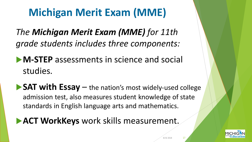# **Michigan Merit Exam (MME)**

*The Michigan Merit Exam (MME) for 11th grade students includes three components:*

**M-STEP** assessments in science and social studies.

**SAT with Essay** – the nation's most widely-used college admission test, also measures student knowledge of state standards in English language arts and mathematics.

**ACT WorkKeys** work skills measurement.

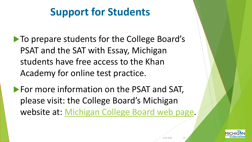# **Support for Students**

- **To prepare students for the College Board's** PSAT and the SAT with Essay, Michigan students have free access to the Khan Academy for online test practice.
- **For more information on the PSAT and SAT,** please visit: the College Board's Michigan website at: [Michigan College Board web page](http://www.collegeboard.org/michigan).

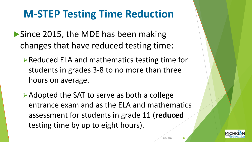## **M-STEP Testing Time Reduction**

- Since 2015, the MDE has been making changes that have reduced testing time:
	- ▶ Reduced ELA and mathematics testing time for students in grades 3-8 to no more than three hours on average.
	- **≻Adopted the SAT to serve as both a college** entrance exam and as the ELA and mathematics assessment for students in grade 11 (**reduced** testing time by up to eight hours).

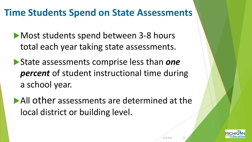#### **Time Students Spend on State Assessments**

- **Most students spend between 3-8 hours** total each year taking state assessments.
- State assessments comprise less than *one percent* of student instructional time during a school year.
- All other assessments are determined at the local district or building level.

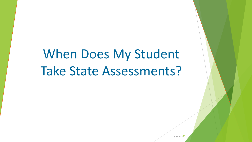# When Does My Student Take State Assessments?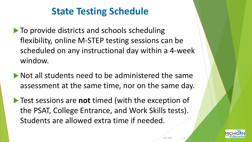#### **State Testing Schedule**

- $\blacktriangleright$  To provide districts and schools scheduling flexibility, online M-STEP testing sessions can be scheduled on any instructional day within a 4-week window.
- $\blacktriangleright$  Not all students need to be administered the same assessment at the same time, nor on the same day.
- Test sessions are **not** timed (with the exception of the PSAT, College Entrance, and Work Skills tests). Students are allowed extra time if needed.

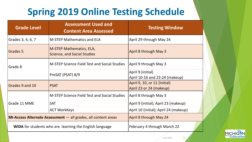#### **Spring 2019 Online Testing Schedule**

| <b>Grade Level</b> | <b>Assessment Used and</b><br><b>Content Area Assessed</b>              | <b>Testing Window</b>                 |  |  |  |
|--------------------|-------------------------------------------------------------------------|---------------------------------------|--|--|--|
| Grades 3, 4, 6, 7  | <b>M-STEP Mathematics and ELA</b>                                       | April 29 through May 24               |  |  |  |
| Grades 5           | <b>M-STEP Mathematics, ELA,</b><br><b>Science, and Social Studies</b>   | April 8 through May 3                 |  |  |  |
| Grade 8            | M-STEP Science Field Test and Social Studies                            | April 9 through May 3                 |  |  |  |
|                    | PreSAT (PSAT) 8/9                                                       | April 9 (initial)                     |  |  |  |
|                    |                                                                         | April 10-16 and 23-24 (makeup)        |  |  |  |
| Grades 9 and 10    | <b>PSAT</b>                                                             | April 9, 10, or 11 (initial)          |  |  |  |
|                    |                                                                         | April 23 or 24 (makeup)               |  |  |  |
|                    | M-STEP Science Field Test and Social Studies                            | April 8 through May 3                 |  |  |  |
| Grade 11 MME       | <b>SAT</b>                                                              | April 9 (initial); April 23 (makeup)  |  |  |  |
|                    | <b>ACT WorkKeys</b>                                                     | April 10 (initial); April 24 (makeup) |  |  |  |
|                    | <b>MI-Access Alternate Assessment</b> $-$ all grades, all content areas | April 8 through May 24                |  |  |  |
|                    | WIDA for students who are learning the English language                 | February 4 through March 22           |  |  |  |

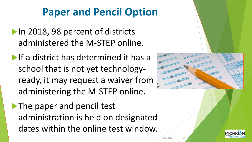### **Paper and Pencil Option**

- In 2018, 98 percent of districts administered the M-STEP online.
- **If a district has determined it has a** school that is not yet technologyready, it may request a waiver from administering the M-STEP online.

The paper and pencil test administration is held on designated dates within the online test window.



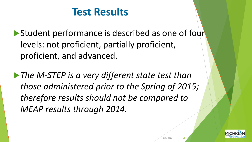#### **Test Results**

Student performance is described as one of four levels: not proficient, partially proficient, proficient, and advanced.

*The M-STEP is a very different state test than those administered prior to the Spring of 2015; therefore results should not be compared to MEAP results through 2014.*

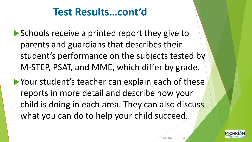#### **Test Results…cont'd**

- Schools receive a printed report they give to parents and guardians that describes their student's performance on the subjects tested by M-STEP, PSAT, and MME, which differ by grade.
- Your student's teacher can explain each of these reports in more detail and describe how your child is doing in each area. They can also discuss what you can do to help your child succeed.